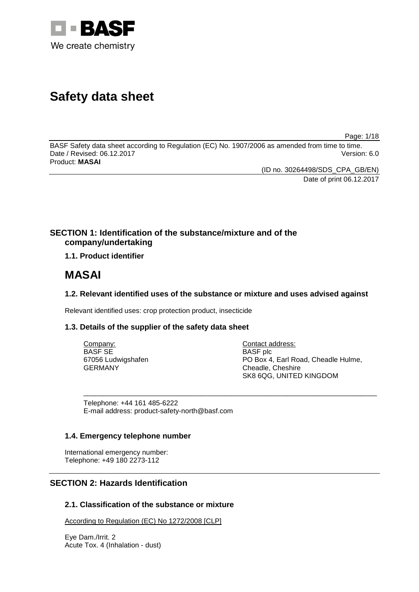

# **Safety data sheet**

Page: 1/18

BASF Safety data sheet according to Regulation (EC) No. 1907/2006 as amended from time to time. Date / Revised: 06.12.2017 Product: **MASAI**

(ID no. 30264498/SDS\_CPA\_GB/EN)

Date of print 06.12.2017

# **SECTION 1: Identification of the substance/mixture and of the company/undertaking**

**1.1. Product identifier**

# **MASAI**

# **1.2. Relevant identified uses of the substance or mixture and uses advised against**

Relevant identified uses: crop protection product, insecticide

# **1.3. Details of the supplier of the safety data sheet**

| Company:           | Contact address:                    |
|--------------------|-------------------------------------|
| <b>BASE SE</b>     | <b>BASF</b> plc                     |
| 67056 Ludwigshafen | PO Box 4, Earl Road, Cheadle Hulme, |
| GERMANY            | Cheadle, Cheshire                   |
|                    | SK8 6QG, UNITED KINGDOM             |

\_\_\_\_\_\_\_\_\_\_\_\_\_\_\_\_\_\_\_\_\_\_\_\_\_\_\_\_\_\_\_\_\_\_\_\_\_\_\_\_\_\_\_\_\_\_\_\_\_\_\_\_\_\_\_\_\_\_\_\_\_\_\_\_\_\_\_\_\_\_\_\_\_\_\_

Telephone: +44 161 485-6222 E-mail address: product-safety-north@basf.com

# **1.4. Emergency telephone number**

International emergency number: Telephone: +49 180 2273-112

# **SECTION 2: Hazards Identification**

# **2.1. Classification of the substance or mixture**

According to Regulation (EC) No 1272/2008 [CLP]

Eye Dam./Irrit. 2 Acute Tox. 4 (Inhalation - dust)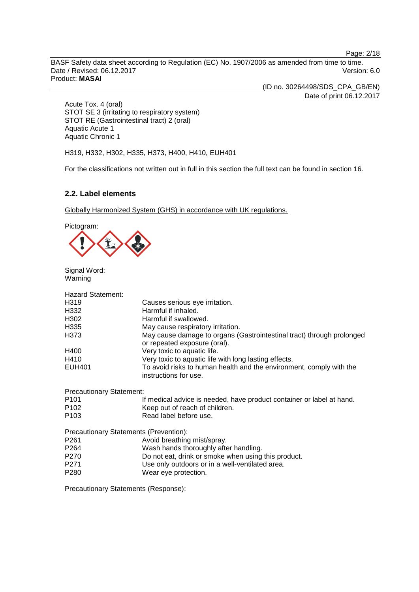Page: 2/18

BASF Safety data sheet according to Regulation (EC) No. 1907/2006 as amended from time to time. Date / Revised: 06.12.2017 Version: 6.0 Product: **MASAI**

(ID no. 30264498/SDS\_CPA\_GB/EN) Date of print 06.12.2017

Acute Tox. 4 (oral) STOT SE 3 (irritating to respiratory system) STOT RE (Gastrointestinal tract) 2 (oral) Aquatic Acute 1 Aquatic Chronic 1

H319, H332, H302, H335, H373, H400, H410, EUH401

For the classifications not written out in full in this section the full text can be found in section 16.

# **2.2. Label elements**

Globally Harmonized System (GHS) in accordance with UK regulations.

Pictogram:



Signal Word: Warning

| <b>Hazard Statement:</b>        |                                                                                                       |
|---------------------------------|-------------------------------------------------------------------------------------------------------|
| H319                            | Causes serious eye irritation.                                                                        |
| H332                            | Harmful if inhaled.                                                                                   |
| H302                            | Harmful if swallowed.                                                                                 |
| H335                            | May cause respiratory irritation.                                                                     |
| H373                            | May cause damage to organs (Gastrointestinal tract) through prolonged<br>or repeated exposure (oral). |
| H400                            | Very toxic to aquatic life.                                                                           |
| H410                            | Very toxic to aquatic life with long lasting effects.                                                 |
| EUH401                          | To avoid risks to human health and the environment, comply with the<br>instructions for use.          |
| <b>Precautionary Statement:</b> |                                                                                                       |
| P <sub>101</sub>                | If medical advice is needed, have product container or label at hand.                                 |
| P <sub>102</sub>                | Keep out of reach of children.                                                                        |
| P <sub>103</sub>                | Read label before use.                                                                                |
|                                 | Precautionary Statements (Prevention):                                                                |
| P <sub>261</sub>                | Avoid breathing mist/spray.                                                                           |
| P <sub>264</sub>                | Wash hands thoroughly after handling.                                                                 |
| P270                            | Do not eat, drink or smoke when using this product.                                                   |

- P271 Use only outdoors or in a well-ventilated area.<br>
P280 Wear eve protection.
- Wear eye protection.

Precautionary Statements (Response):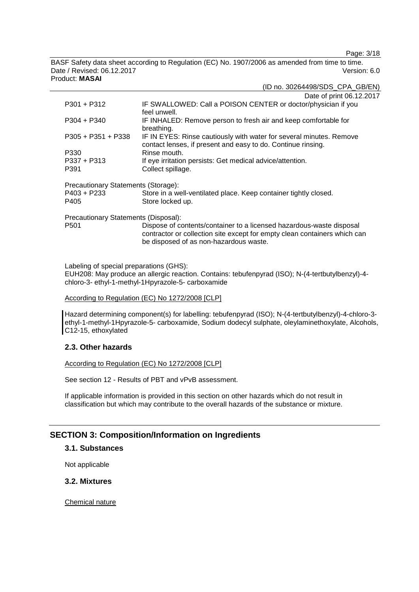Page: 3/18

BASF Safety data sheet according to Regulation (EC) No. 1907/2006 as amended from time to time. Date / Revised: 06.12.2017 Version: 6.0 Product: **MASAI**

|               | (ID no. 30264498/SDS CPA GB/EN)                                               |
|---------------|-------------------------------------------------------------------------------|
|               | Date of print 06.12.2017                                                      |
| $P301 + P312$ | IF SWALLOWED: Call a POISON CENTER or doctor/physician if you<br>المنتسب اممة |

|                                      | feel unwell.                                                         |
|--------------------------------------|----------------------------------------------------------------------|
| $P304 + P340$                        | IF INHALED: Remove person to fresh air and keep comfortable for      |
|                                      | breathing.                                                           |
| $P305 + P351 + P338$                 | IF IN EYES: Rinse cautiously with water for several minutes. Remove  |
|                                      | contact lenses, if present and easy to do. Continue rinsing.         |
| P330                                 | Rinse mouth.                                                         |
| $P337 + P313$                        | If eye irritation persists: Get medical advice/attention.            |
| P391                                 | Collect spillage.                                                    |
| Precautionary Statements (Storage):  |                                                                      |
| $P403 + P233$                        | Store in a well-ventilated place. Keep container tightly closed.     |
| P405                                 | Store locked up.                                                     |
| Precautionary Statements (Disposal): |                                                                      |
| P <sub>501</sub>                     | Dispose of contents/container to a licensed hazardous-waste disposal |
|                                      |                                                                      |

contractor or collection site except for empty clean containers which can be disposed of as non-hazardous waste.

Labeling of special preparations (GHS):

EUH208: May produce an allergic reaction. Contains: tebufenpyrad (ISO); N-(4-tertbutylbenzyl)-4 chloro-3- ethyl-1-methyl-1Hpyrazole-5- carboxamide

#### According to Regulation (EC) No 1272/2008 [CLP]

Hazard determining component(s) for labelling: tebufenpyrad (ISO); N-(4-tertbutylbenzyl)-4-chloro-3 ethyl-1-methyl-1Hpyrazole-5- carboxamide, Sodium dodecyl sulphate, oleylaminethoxylate, Alcohols, C12-15, ethoxylated

# **2.3. Other hazards**

# According to Regulation (EC) No 1272/2008 [CLP]

See section 12 - Results of PBT and vPvB assessment.

If applicable information is provided in this section on other hazards which do not result in classification but which may contribute to the overall hazards of the substance or mixture.

# **SECTION 3: Composition/Information on Ingredients**

**3.1. Substances**

Not applicable

**3.2. Mixtures**

Chemical nature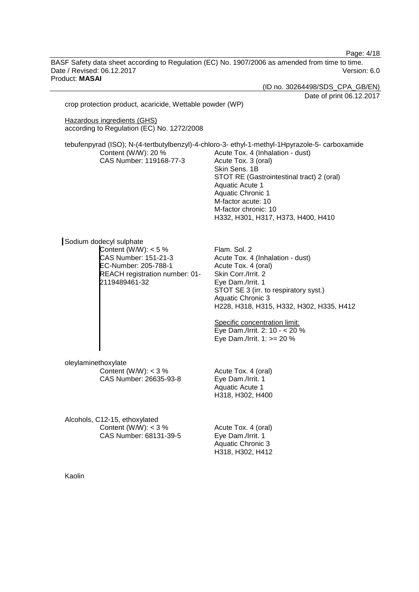Page: 4/18

BASF Safety data sheet according to Regulation (EC) No. 1907/2006 as amended from time to time. Date / Revised: 06.12.2017 Version: 6.0 Product: **MASAI**

(ID no. 30264498/SDS\_CPA\_GB/EN) Date of print 06.12.2017 crop protection product, acaricide, Wettable powder (WP) Hazardous ingredients (GHS) according to Regulation (EC) No. 1272/2008 tebufenpyrad (ISO); N-(4-tertbutylbenzyl)-4-chloro-3- ethyl-1-methyl-1Hpyrazole-5- carboxamide Content (W/W): 20 % CAS Number: 119168-77-3 Acute Tox. 4 (Inhalation - dust) Acute Tox. 3 (oral) Skin Sens. 1B STOT RE (Gastrointestinal tract) 2 (oral) Aquatic Acute 1 Aquatic Chronic 1 M-factor acute: 10 M-factor chronic: 10 H332, H301, H317, H373, H400, H410 Sodium dodecyl sulphate Content  $(W/W)$ : < 5 % CAS Number: 151-21-3 EC-Number: 205-788-1 REACH registration number: 01- 2119489461-32 Flam. Sol. 2 Acute Tox. 4 (Inhalation - dust) Acute Tox. 4 (oral) Skin Corr./Irrit. 2 Eye Dam./Irrit. 1 STOT SE 3 (irr. to respiratory syst.) Aquatic Chronic 3 H228, H318, H315, H332, H302, H335, H412 Specific concentration limit: Eye Dam./Irrit. 2: 10 - < 20 % Eye Dam./Irrit. 1: >= 20 % oleylaminethoxylate Content (W/W):  $<$  3 % CAS Number: 26635-93-8 Acute Tox. 4 (oral) Eye Dam./Irrit. 1 Aquatic Acute 1 H318, H302, H400 Alcohols, C12-15, ethoxylated Content (W/W):  $<$  3 % CAS Number: 68131-39-5 Acute Tox. 4 (oral) Eye Dam./Irrit. 1 Aquatic Chronic 3 H318, H302, H412 Kaolin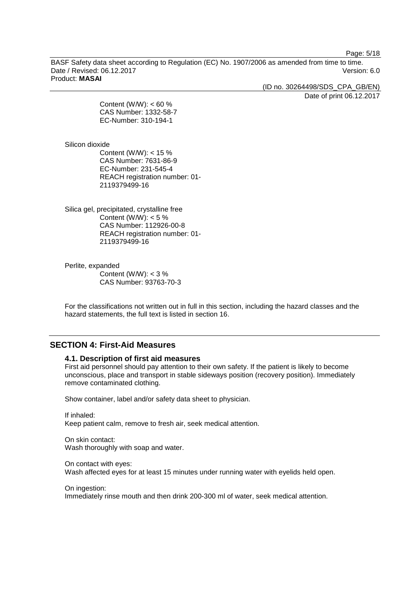Page: 5/18

BASF Safety data sheet according to Regulation (EC) No. 1907/2006 as amended from time to time. Date / Revised: 06.12.2017 Version: 6.0 Product: **MASAI**

(ID no. 30264498/SDS\_CPA\_GB/EN)

Date of print 06.12.2017

Content (W/W):  $< 60 %$ CAS Number: 1332-58-7 EC-Number: 310-194-1

Silicon dioxide

Content (W/W): < 15 % CAS Number: 7631-86-9 EC-Number: 231-545-4 REACH registration number: 01- 2119379499-16

Silica gel, precipitated, crystalline free Content (W/W):  $< 5 \%$ CAS Number: 112926-00-8 REACH registration number: 01- 2119379499-16

Perlite, expanded Content (W/W):  $<$  3 % CAS Number: 93763-70-3

For the classifications not written out in full in this section, including the hazard classes and the hazard statements, the full text is listed in section 16.

# **SECTION 4: First-Aid Measures**

## **4.1. Description of first aid measures**

First aid personnel should pay attention to their own safety. If the patient is likely to become unconscious, place and transport in stable sideways position (recovery position). Immediately remove contaminated clothing.

Show container, label and/or safety data sheet to physician.

If inhaled: Keep patient calm, remove to fresh air, seek medical attention.

On skin contact: Wash thoroughly with soap and water.

On contact with eyes: Wash affected eyes for at least 15 minutes under running water with eyelids held open.

On ingestion: Immediately rinse mouth and then drink 200-300 ml of water, seek medical attention.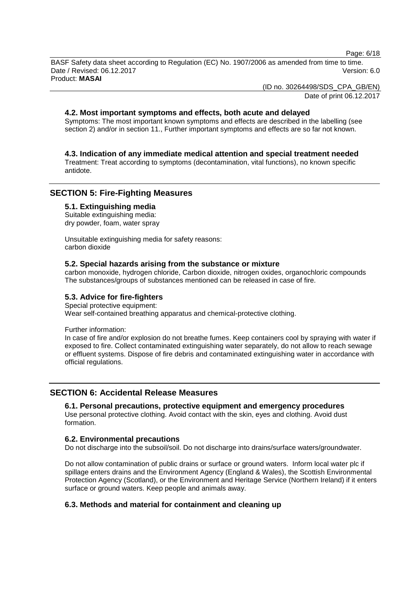Page: 6/18

BASF Safety data sheet according to Regulation (EC) No. 1907/2006 as amended from time to time. Date / Revised: 06.12.2017 **Version: 6.0** Product: **MASAI**

(ID no. 30264498/SDS\_CPA\_GB/EN)

Date of print 06.12.2017

## **4.2. Most important symptoms and effects, both acute and delayed**

Symptoms: The most important known symptoms and effects are described in the labelling (see section 2) and/or in section 11., Further important symptoms and effects are so far not known.

## **4.3. Indication of any immediate medical attention and special treatment needed**

Treatment: Treat according to symptoms (decontamination, vital functions), no known specific antidote.

# **SECTION 5: Fire-Fighting Measures**

#### **5.1. Extinguishing media**

Suitable extinguishing media: dry powder, foam, water spray

Unsuitable extinguishing media for safety reasons: carbon dioxide

#### **5.2. Special hazards arising from the substance or mixture**

carbon monoxide, hydrogen chloride, Carbon dioxide, nitrogen oxides, organochloric compounds The substances/groups of substances mentioned can be released in case of fire.

#### **5.3. Advice for fire-fighters**

Special protective equipment: Wear self-contained breathing apparatus and chemical-protective clothing.

Further information:

In case of fire and/or explosion do not breathe fumes. Keep containers cool by spraying with water if exposed to fire. Collect contaminated extinguishing water separately, do not allow to reach sewage or effluent systems. Dispose of fire debris and contaminated extinguishing water in accordance with official regulations.

# **SECTION 6: Accidental Release Measures**

# **6.1. Personal precautions, protective equipment and emergency procedures**

Use personal protective clothing. Avoid contact with the skin, eyes and clothing. Avoid dust formation.

#### **6.2. Environmental precautions**

Do not discharge into the subsoil/soil. Do not discharge into drains/surface waters/groundwater.

Do not allow contamination of public drains or surface or ground waters. Inform local water plc if spillage enters drains and the Environment Agency (England & Wales), the Scottish Environmental Protection Agency (Scotland), or the Environment and Heritage Service (Northern Ireland) if it enters surface or ground waters. Keep people and animals away.

# **6.3. Methods and material for containment and cleaning up**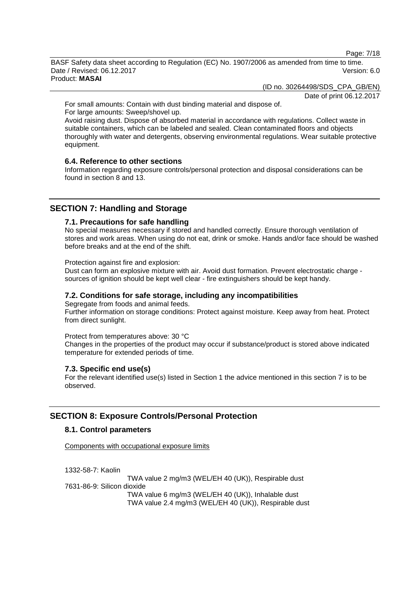Page: 7/18

BASF Safety data sheet according to Regulation (EC) No. 1907/2006 as amended from time to time. Date / Revised: 06.12.2017 **Version: 6.0** Product: **MASAI**

(ID no. 30264498/SDS\_CPA\_GB/EN)

Date of print 06.12.2017

For small amounts: Contain with dust binding material and dispose of. For large amounts: Sweep/shovel up.

Avoid raising dust. Dispose of absorbed material in accordance with regulations. Collect waste in suitable containers, which can be labeled and sealed. Clean contaminated floors and objects thoroughly with water and detergents, observing environmental regulations. Wear suitable protective equipment.

#### **6.4. Reference to other sections**

Information regarding exposure controls/personal protection and disposal considerations can be found in section 8 and 13.

# **SECTION 7: Handling and Storage**

# **7.1. Precautions for safe handling**

No special measures necessary if stored and handled correctly. Ensure thorough ventilation of stores and work areas. When using do not eat, drink or smoke. Hands and/or face should be washed before breaks and at the end of the shift.

Protection against fire and explosion:

Dust can form an explosive mixture with air. Avoid dust formation. Prevent electrostatic charge sources of ignition should be kept well clear - fire extinguishers should be kept handy.

#### **7.2. Conditions for safe storage, including any incompatibilities**

Segregate from foods and animal feeds.

Further information on storage conditions: Protect against moisture. Keep away from heat. Protect from direct sunlight.

Protect from temperatures above: 30 °C

Changes in the properties of the product may occur if substance/product is stored above indicated temperature for extended periods of time.

#### **7.3. Specific end use(s)**

For the relevant identified use(s) listed in Section 1 the advice mentioned in this section 7 is to be observed.

# **SECTION 8: Exposure Controls/Personal Protection**

# **8.1. Control parameters**

Components with occupational exposure limits

1332-58-7: Kaolin

TWA value 2 mg/m3 (WEL/EH 40 (UK)), Respirable dust 7631-86-9: Silicon dioxide TWA value 6 mg/m3 (WEL/EH 40 (UK)), Inhalable dust TWA value 2.4 mg/m3 (WEL/EH 40 (UK)), Respirable dust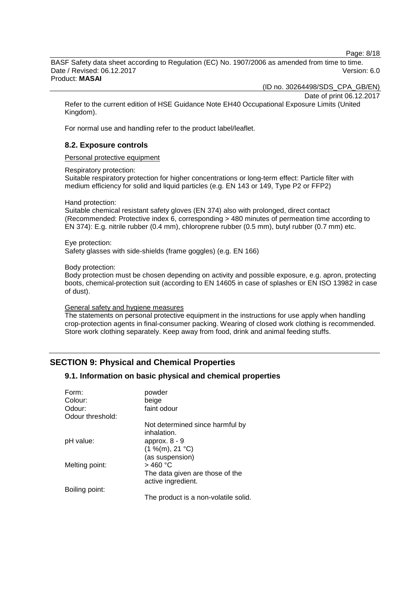Page: 8/18

BASF Safety data sheet according to Regulation (EC) No. 1907/2006 as amended from time to time. Date / Revised: 06.12.2017 Version: 6.0 Product: **MASAI**

(ID no. 30264498/SDS\_CPA\_GB/EN)

Date of print 06.12.2017

Refer to the current edition of HSE Guidance Note EH40 Occupational Exposure Limits (United Kingdom).

For normal use and handling refer to the product label/leaflet.

# **8.2. Exposure controls**

Personal protective equipment

Respiratory protection:

Suitable respiratory protection for higher concentrations or long-term effect: Particle filter with medium efficiency for solid and liquid particles (e.g. EN 143 or 149, Type P2 or FFP2)

Hand protection:

Suitable chemical resistant safety gloves (EN 374) also with prolonged, direct contact (Recommended: Protective index 6, corresponding > 480 minutes of permeation time according to EN 374): E.g. nitrile rubber (0.4 mm), chloroprene rubber (0.5 mm), butyl rubber (0.7 mm) etc.

Eye protection:

Safety glasses with side-shields (frame goggles) (e.g. EN 166)

Body protection:

Body protection must be chosen depending on activity and possible exposure, e.g. apron, protecting boots, chemical-protection suit (according to EN 14605 in case of splashes or EN ISO 13982 in case of dust).

#### General safety and hygiene measures

The statements on personal protective equipment in the instructions for use apply when handling crop-protection agents in final-consumer packing. Wearing of closed work clothing is recommended. Store work clothing separately. Keep away from food, drink and animal feeding stuffs.

# **SECTION 9: Physical and Chemical Properties**

# **9.1. Information on basic physical and chemical properties**

| Form:<br>Colour: | powder<br>beige                                       |
|------------------|-------------------------------------------------------|
| Odour:           | faint odour                                           |
| Odour threshold: |                                                       |
|                  | Not determined since harmful by<br>inhalation.        |
| pH value:        | approx. $8 - 9$                                       |
|                  | (1 %(m), 21 °C)                                       |
|                  | (as suspension)                                       |
| Melting point:   | $>$ 460 °C                                            |
|                  | The data given are those of the<br>active ingredient. |
| Boiling point:   |                                                       |
|                  | The product is a non-volatile solid.                  |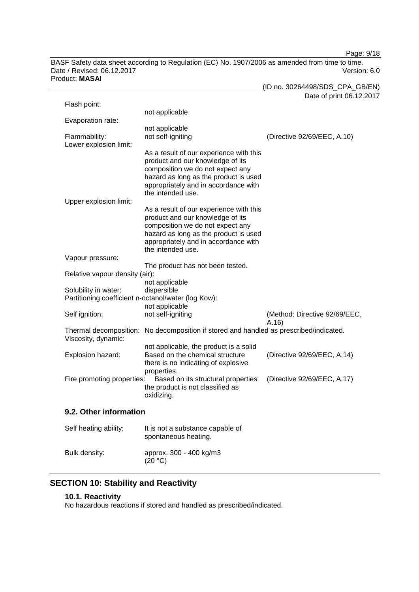Page: 9/18

BASF Safety data sheet according to Regulation (EC) No. 1907/2006 as amended from time to time. Date / Revised: 06.12.2017 Product: **MASAI**

|                                               |                                                                                                                                                                                                                       | Date of print 06.12.2017      |
|-----------------------------------------------|-----------------------------------------------------------------------------------------------------------------------------------------------------------------------------------------------------------------------|-------------------------------|
| Flash point:                                  |                                                                                                                                                                                                                       |                               |
| Evaporation rate:                             | not applicable                                                                                                                                                                                                        |                               |
|                                               | not applicable                                                                                                                                                                                                        |                               |
| Flammability:<br>Lower explosion limit:       | not self-igniting                                                                                                                                                                                                     | (Directive 92/69/EEC, A.10)   |
| Upper explosion limit:                        | As a result of our experience with this<br>product and our knowledge of its<br>composition we do not expect any<br>hazard as long as the product is used<br>appropriately and in accordance with<br>the intended use. |                               |
|                                               | As a result of our experience with this                                                                                                                                                                               |                               |
|                                               | product and our knowledge of its<br>composition we do not expect any<br>hazard as long as the product is used<br>appropriately and in accordance with                                                                 |                               |
|                                               | the intended use.                                                                                                                                                                                                     |                               |
| Vapour pressure:                              | The product has not been tested.                                                                                                                                                                                      |                               |
| Relative vapour density (air):                |                                                                                                                                                                                                                       |                               |
|                                               | not applicable                                                                                                                                                                                                        |                               |
| Solubility in water:                          | dispersible                                                                                                                                                                                                           |                               |
|                                               | Partitioning coefficient n-octanol/water (log Kow):<br>not applicable                                                                                                                                                 |                               |
| Self ignition:                                | not self-igniting                                                                                                                                                                                                     | (Method: Directive 92/69/EEC, |
|                                               |                                                                                                                                                                                                                       | A.16)                         |
| Thermal decomposition:<br>Viscosity, dynamic: | No decomposition if stored and handled as prescribed/indicated.                                                                                                                                                       |                               |
|                                               | not applicable, the product is a solid                                                                                                                                                                                |                               |
| Explosion hazard:                             | Based on the chemical structure<br>there is no indicating of explosive                                                                                                                                                | (Directive 92/69/EEC, A.14)   |
| Fire promoting properties:                    | properties.<br>Based on its structural properties<br>the product is not classified as<br>oxidizing.                                                                                                                   | (Directive 92/69/EEC, A.17)   |
| 9.2. Other information                        |                                                                                                                                                                                                                       |                               |
| Self heating ability:                         | It is not a substance capable of<br>spontaneous heating.                                                                                                                                                              |                               |
| Bulk density:                                 | approx. 300 - 400 kg/m3                                                                                                                                                                                               |                               |

# **SECTION 10: Stability and Reactivity**

# **10.1. Reactivity**

No hazardous reactions if stored and handled as prescribed/indicated.

 $(20 °C)$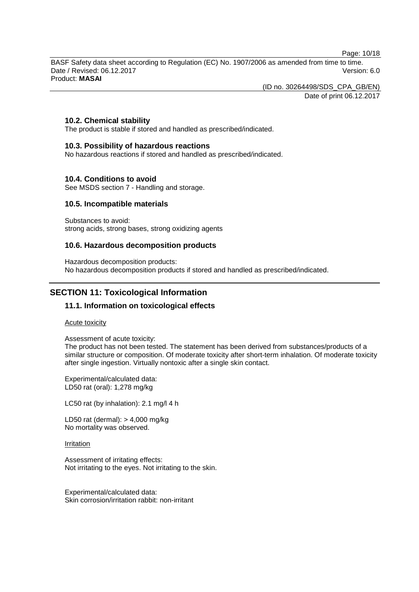Page: 10/18

BASF Safety data sheet according to Regulation (EC) No. 1907/2006 as amended from time to time. Date / Revised: 06.12.2017 Version: 6.0 Product: **MASAI**

(ID no. 30264498/SDS\_CPA\_GB/EN)

Date of print 06.12.2017

# **10.2. Chemical stability**

The product is stable if stored and handled as prescribed/indicated.

## **10.3. Possibility of hazardous reactions**

No hazardous reactions if stored and handled as prescribed/indicated.

# **10.4. Conditions to avoid**

See MSDS section 7 - Handling and storage.

## **10.5. Incompatible materials**

Substances to avoid: strong acids, strong bases, strong oxidizing agents

## **10.6. Hazardous decomposition products**

Hazardous decomposition products: No hazardous decomposition products if stored and handled as prescribed/indicated.

# **SECTION 11: Toxicological Information**

# **11.1. Information on toxicological effects**

#### Acute toxicity

Assessment of acute toxicity:

The product has not been tested. The statement has been derived from substances/products of a similar structure or composition. Of moderate toxicity after short-term inhalation. Of moderate toxicity after single ingestion. Virtually nontoxic after a single skin contact.

Experimental/calculated data: LD50 rat (oral): 1,278 mg/kg

LC50 rat (by inhalation): 2.1 mg/l 4 h

LD50 rat (dermal): > 4,000 mg/kg No mortality was observed.

#### Irritation

Assessment of irritating effects: Not irritating to the eyes. Not irritating to the skin.

Experimental/calculated data: Skin corrosion/irritation rabbit: non-irritant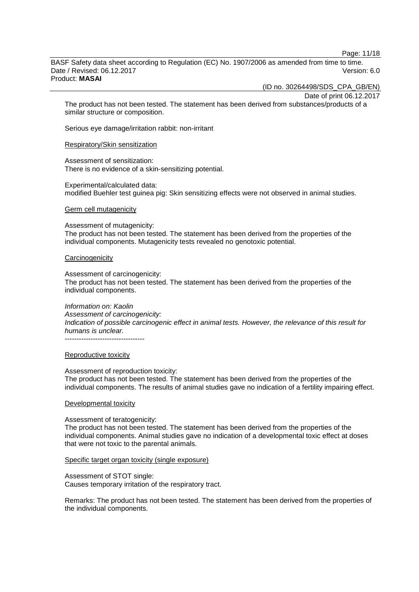Page: 11/18

BASF Safety data sheet according to Regulation (EC) No. 1907/2006 as amended from time to time. Date / Revised: 06.12.2017 Version: 6.0 Product: **MASAI**

(ID no. 30264498/SDS\_CPA\_GB/EN)

Date of print 06.12.2017

The product has not been tested. The statement has been derived from substances/products of a similar structure or composition.

Serious eye damage/irritation rabbit: non-irritant

#### Respiratory/Skin sensitization

Assessment of sensitization: There is no evidence of a skin-sensitizing potential.

Experimental/calculated data: modified Buehler test guinea pig: Skin sensitizing effects were not observed in animal studies.

#### Germ cell mutagenicity

Assessment of mutagenicity: The product has not been tested. The statement has been derived from the properties of the individual components. Mutagenicity tests revealed no genotoxic potential.

#### **Carcinogenicity**

Assessment of carcinogenicity: The product has not been tested. The statement has been derived from the properties of the individual components.

*Information on: Kaolin Assessment of carcinogenicity: Indication of possible carcinogenic effect in animal tests. However, the relevance of this result for humans is unclear.* ----------------------------------

#### Reproductive toxicity

#### Assessment of reproduction toxicity:

The product has not been tested. The statement has been derived from the properties of the individual components. The results of animal studies gave no indication of a fertility impairing effect.

#### Developmental toxicity

#### Assessment of teratogenicity:

The product has not been tested. The statement has been derived from the properties of the individual components. Animal studies gave no indication of a developmental toxic effect at doses that were not toxic to the parental animals.

#### Specific target organ toxicity (single exposure)

Assessment of STOT single: Causes temporary irritation of the respiratory tract.

Remarks: The product has not been tested. The statement has been derived from the properties of the individual components.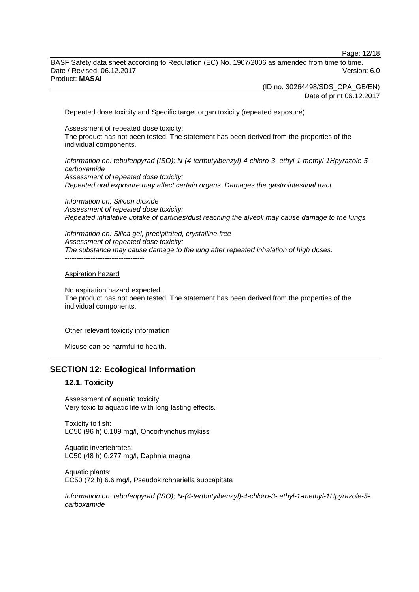Page: 12/18

BASF Safety data sheet according to Regulation (EC) No. 1907/2006 as amended from time to time. Date / Revised: 06.12.2017 Version: 6.0 Product: **MASAI**

> (ID no. 30264498/SDS\_CPA\_GB/EN) Date of print 06.12.2017

Repeated dose toxicity and Specific target organ toxicity (repeated exposure)

Assessment of repeated dose toxicity: The product has not been tested. The statement has been derived from the properties of the individual components.

*Information on: tebufenpyrad (ISO); N-(4-tertbutylbenzyl)-4-chloro-3- ethyl-1-methyl-1Hpyrazole-5 carboxamide Assessment of repeated dose toxicity: Repeated oral exposure may affect certain organs. Damages the gastrointestinal tract.*

*Information on: Silicon dioxide Assessment of repeated dose toxicity: Repeated inhalative uptake of particles/dust reaching the alveoli may cause damage to the lungs.*

*Information on: Silica gel, precipitated, crystalline free Assessment of repeated dose toxicity: The substance may cause damage to the lung after repeated inhalation of high doses.* ----------------------------------

#### Aspiration hazard

No aspiration hazard expected. The product has not been tested. The statement has been derived from the properties of the individual components.

#### Other relevant toxicity information

Misuse can be harmful to health.

# **SECTION 12: Ecological Information**

## **12.1. Toxicity**

Assessment of aquatic toxicity: Very toxic to aquatic life with long lasting effects.

Toxicity to fish: LC50 (96 h) 0.109 mg/l, Oncorhynchus mykiss

Aquatic invertebrates: LC50 (48 h) 0.277 mg/l, Daphnia magna

Aquatic plants: EC50 (72 h) 6.6 mg/l, Pseudokirchneriella subcapitata

*Information on: tebufenpyrad (ISO); N-(4-tertbutylbenzyl)-4-chloro-3- ethyl-1-methyl-1Hpyrazole-5 carboxamide*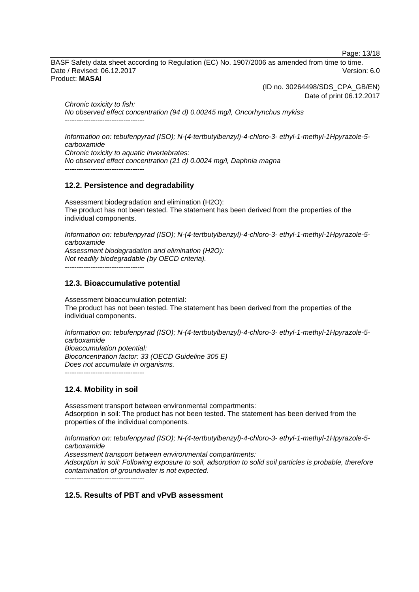Page: 13/18

BASF Safety data sheet according to Regulation (EC) No. 1907/2006 as amended from time to time. Date / Revised: 06.12.2017 Version: 6.0 Product: **MASAI**

(ID no. 30264498/SDS\_CPA\_GB/EN)

Date of print 06.12.2017

*Chronic toxicity to fish: No observed effect concentration (94 d) 0.00245 mg/l, Oncorhynchus mykiss* ----------------------------------

*Information on: tebufenpyrad (ISO); N-(4-tertbutylbenzyl)-4-chloro-3- ethyl-1-methyl-1Hpyrazole-5 carboxamide Chronic toxicity to aquatic invertebrates: No observed effect concentration (21 d) 0.0024 mg/l, Daphnia magna*

**12.2. Persistence and degradability**

----------------------------------

Assessment biodegradation and elimination (H2O): The product has not been tested. The statement has been derived from the properties of the individual components.

*Information on: tebufenpyrad (ISO); N-(4-tertbutylbenzyl)-4-chloro-3- ethyl-1-methyl-1Hpyrazole-5 carboxamide Assessment biodegradation and elimination (H2O): Not readily biodegradable (by OECD criteria).*

----------------------------------

## **12.3. Bioaccumulative potential**

Assessment bioaccumulation potential: The product has not been tested. The statement has been derived from the properties of the individual components.

*Information on: tebufenpyrad (ISO); N-(4-tertbutylbenzyl)-4-chloro-3- ethyl-1-methyl-1Hpyrazole-5 carboxamide Bioaccumulation potential: Bioconcentration factor: 33 (OECD Guideline 305 E) Does not accumulate in organisms.* ----------------------------------

# **12.4. Mobility in soil**

Assessment transport between environmental compartments: Adsorption in soil: The product has not been tested. The statement has been derived from the properties of the individual components.

*Information on: tebufenpyrad (ISO); N-(4-tertbutylbenzyl)-4-chloro-3- ethyl-1-methyl-1Hpyrazole-5 carboxamide*

*Assessment transport between environmental compartments:*

*Adsorption in soil: Following exposure to soil, adsorption to solid soil particles is probable, therefore contamination of groundwater is not expected.*

----------------------------------

# **12.5. Results of PBT and vPvB assessment**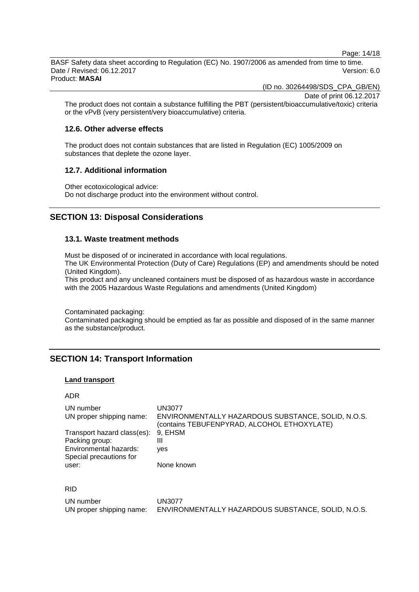Page: 14/18

BASF Safety data sheet according to Regulation (EC) No. 1907/2006 as amended from time to time. Date / Revised: 06.12.2017 Version: 6.0 Product: **MASAI**

(ID no. 30264498/SDS\_CPA\_GB/EN)

Date of print 06.12.2017

The product does not contain a substance fulfilling the PBT (persistent/bioaccumulative/toxic) criteria or the vPvB (very persistent/very bioaccumulative) criteria.

#### **12.6. Other adverse effects**

The product does not contain substances that are listed in Regulation (EC) 1005/2009 on substances that deplete the ozone layer.

## **12.7. Additional information**

Other ecotoxicological advice: Do not discharge product into the environment without control.

# **SECTION 13: Disposal Considerations**

## **13.1. Waste treatment methods**

Must be disposed of or incinerated in accordance with local regulations.

The UK Environmental Protection (Duty of Care) Regulations (EP) and amendments should be noted (United Kingdom).

This product and any uncleaned containers must be disposed of as hazardous waste in accordance with the 2005 Hazardous Waste Regulations and amendments (United Kingdom)

Contaminated packaging:

Contaminated packaging should be emptied as far as possible and disposed of in the same manner as the substance/product.

# **SECTION 14: Transport Information**

#### **Land transport**

## ADR

| UN number                                         | UN3077                                                                                            |
|---------------------------------------------------|---------------------------------------------------------------------------------------------------|
| UN proper shipping name:                          | ENVIRONMENTALLY HAZARDOUS SUBSTANCE, SOLID, N.O.S.<br>(contains TEBUFENPYRAD, ALCOHOL ETHOXYLATE) |
| Transport hazard class(es):                       | 9. EHSM                                                                                           |
| Packing group:                                    | Ш                                                                                                 |
| Environmental hazards:<br>Special precautions for | ves                                                                                               |
| user:                                             | None known                                                                                        |
|                                                   |                                                                                                   |

#### RID

| UN number                | <b>UN3077</b>                                      |
|--------------------------|----------------------------------------------------|
| UN proper shipping name: | ENVIRONMENTALLY HAZARDOUS SUBSTANCE, SOLID, N.O.S. |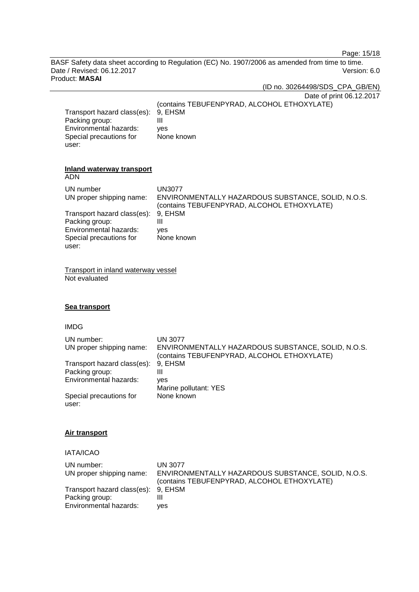Page: 15/18

BASF Safety data sheet according to Regulation (EC) No. 1907/2006 as amended from time to time. Date / Revised: 06.12.2017<br>Product: MASAI

| Product: MASAI                                                                                              |                                                                                                                           |
|-------------------------------------------------------------------------------------------------------------|---------------------------------------------------------------------------------------------------------------------------|
|                                                                                                             | (ID no. 30264498/SDS_CPA_GB/EN)                                                                                           |
| Transport hazard class(es):<br>Packing group:<br>Environmental hazards:<br>Special precautions for<br>user: | Date of print 06.12.2017<br>(contains TEBUFENPYRAD, ALCOHOL ETHOXYLATE)<br>9, EHSM<br>$\mathbf{III}$<br>ves<br>None known |
| <b>Inland waterway transport</b><br><b>ADN</b>                                                              |                                                                                                                           |
| UN number<br>UN proper shipping name:                                                                       | <b>UN3077</b><br>ENVIRONMENTALLY HAZARDOUS SUBSTANCE, SOLID, N.O.S.<br>(contains TEBUFENPYRAD, ALCOHOL ETHOXYLATE)        |
| Transport hazard class(es):<br>Packing group:                                                               | 9, EHSM<br>$\mathbf{III}$                                                                                                 |
| Environmental hazards:<br>Special precautions for<br>user:                                                  | ves<br>None known                                                                                                         |
| Transport in inland waterway vessel<br>Not evaluated                                                        |                                                                                                                           |
| Sea transport                                                                                               |                                                                                                                           |
| <b>IMDG</b>                                                                                                 |                                                                                                                           |
| UN number:<br>. IIN proper shinning name                                                                    | <b>UN 3077</b><br>ENVIRONMENTALLY HAZARDOLIS SLIBSTANCE SOLID N O S                                                       |

UN proper shipping name: ENVIRONMENTALLY HAZARDOUS SUBSTANCE, SOLID, N.O.S. (contains TEBUFENPYRAD, ALCOHOL ETHOXYLATE) Transport hazard class(es): 9, EHSM<br>Packing group: III Packing group: III<br>Environmental hazards: yes Environmental hazards: Marine pollutant: YES Special precautions for user: None known

#### **Air transport**

j.

IATA/ICAO

| UN number:<br>UN proper shipping name:                                          | UN 3077<br>ENVIRONMENTALLY HAZARDOUS SUBSTANCE, SOLID, N.O.S.<br>(contains TEBUFENPYRAD, ALCOHOL ETHOXYLATE) |
|---------------------------------------------------------------------------------|--------------------------------------------------------------------------------------------------------------|
| Transport hazard class(es): 9, EHSM<br>Packing group:<br>Environmental hazards: | ves                                                                                                          |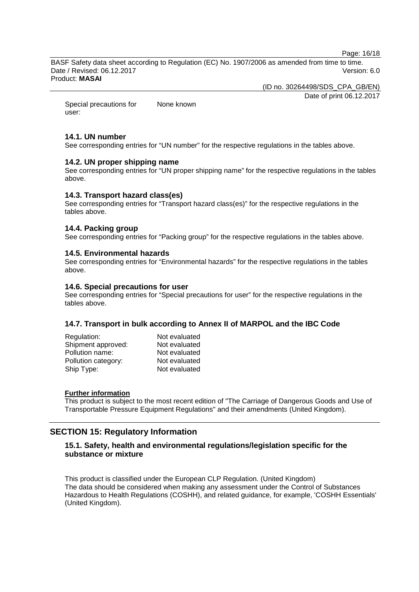Page: 16/18

BASF Safety data sheet according to Regulation (EC) No. 1907/2006 as amended from time to time. Date / Revised: 06.12.2017 Version: 6.0 Product: **MASAI**

(ID no. 30264498/SDS\_CPA\_GB/EN)

Date of print 06.12.2017

Special precautions for user: None known

## **14.1. UN number**

See corresponding entries for "UN number" for the respective regulations in the tables above.

## **14.2. UN proper shipping name**

See corresponding entries for "UN proper shipping name" for the respective regulations in the tables above.

## **14.3. Transport hazard class(es)**

See corresponding entries for "Transport hazard class(es)" for the respective regulations in the tables above.

## **14.4. Packing group**

See corresponding entries for "Packing group" for the respective regulations in the tables above.

#### **14.5. Environmental hazards**

See corresponding entries for "Environmental hazards" for the respective regulations in the tables above.

#### **14.6. Special precautions for user**

See corresponding entries for "Special precautions for user" for the respective regulations in the tables above.

#### **14.7. Transport in bulk according to Annex II of MARPOL and the IBC Code**

| Regulation:         | Not evaluated |
|---------------------|---------------|
| Shipment approved:  | Not evaluated |
| Pollution name:     | Not evaluated |
| Pollution category: | Not evaluated |
| Ship Type:          | Not evaluated |

## **Further information**

This product is subject to the most recent edition of "The Carriage of Dangerous Goods and Use of Transportable Pressure Equipment Regulations" and their amendments (United Kingdom).

# **SECTION 15: Regulatory Information**

## **15.1. Safety, health and environmental regulations/legislation specific for the substance or mixture**

This product is classified under the European CLP Regulation. (United Kingdom) The data should be considered when making any assessment under the Control of Substances Hazardous to Health Regulations (COSHH), and related guidance, for example, 'COSHH Essentials' (United Kingdom).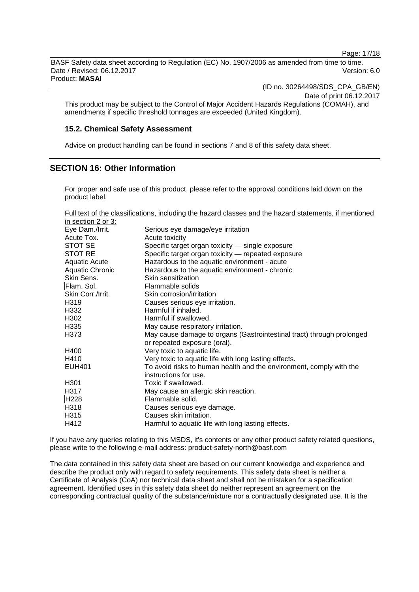Page: 17/18

BASF Safety data sheet according to Regulation (EC) No. 1907/2006 as amended from time to time. Date / Revised: 06.12.2017 Version: 6.0

Product: **MASAI**

(ID no. 30264498/SDS\_CPA\_GB/EN)

Date of print 06.12.2017

This product may be subject to the Control of Major Accident Hazards Regulations (COMAH), and amendments if specific threshold tonnages are exceeded (United Kingdom).

#### **15.2. Chemical Safety Assessment**

Advice on product handling can be found in sections 7 and 8 of this safety data sheet.

# **SECTION 16: Other Information**

For proper and safe use of this product, please refer to the approval conditions laid down on the product label.

| Full text of the classifications, including the hazard classes and the hazard statements, if mentioned |  |  |
|--------------------------------------------------------------------------------------------------------|--|--|
| in contion $2 \times 2$                                                                                |  |  |

| In section 2 or 3. |                                                                       |
|--------------------|-----------------------------------------------------------------------|
| Eye Dam./Irrit.    | Serious eye damage/eye irritation                                     |
| Acute Tox.         | Acute toxicity                                                        |
| STOT SE            | Specific target organ toxicity - single exposure                      |
| STOT RE            | Specific target organ toxicity — repeated exposure                    |
| Aquatic Acute      | Hazardous to the aquatic environment - acute                          |
| Aquatic Chronic    | Hazardous to the aquatic environment - chronic                        |
| Skin Sens.         | Skin sensitization                                                    |
| Flam. Sol.         | Flammable solids                                                      |
| Skin Corr./Irrit.  | Skin corrosion/irritation                                             |
| H319               | Causes serious eye irritation.                                        |
| H332               | Harmful if inhaled.                                                   |
| H302               | Harmful if swallowed.                                                 |
| H335               | May cause respiratory irritation.                                     |
| H373               | May cause damage to organs (Gastrointestinal tract) through prolonged |
|                    | or repeated exposure (oral).                                          |
| H400               | Very toxic to aquatic life.                                           |
| H410               | Very toxic to aquatic life with long lasting effects.                 |
| <b>EUH401</b>      | To avoid risks to human health and the environment, comply with the   |
|                    | instructions for use.                                                 |
| H <sub>301</sub>   | Toxic if swallowed.                                                   |
| H317               | May cause an allergic skin reaction.                                  |
| H228               | Flammable solid.                                                      |
| H318               | Causes serious eye damage.                                            |
| H315               | Causes skin irritation.                                               |
| H412               | Harmful to aquatic life with long lasting effects.                    |

If you have any queries relating to this MSDS, it's contents or any other product safety related questions, please write to the following e-mail address: product-safety-north@basf.com

The data contained in this safety data sheet are based on our current knowledge and experience and describe the product only with regard to safety requirements. This safety data sheet is neither a Certificate of Analysis (CoA) nor technical data sheet and shall not be mistaken for a specification agreement. Identified uses in this safety data sheet do neither represent an agreement on the corresponding contractual quality of the substance/mixture nor a contractually designated use. It is the